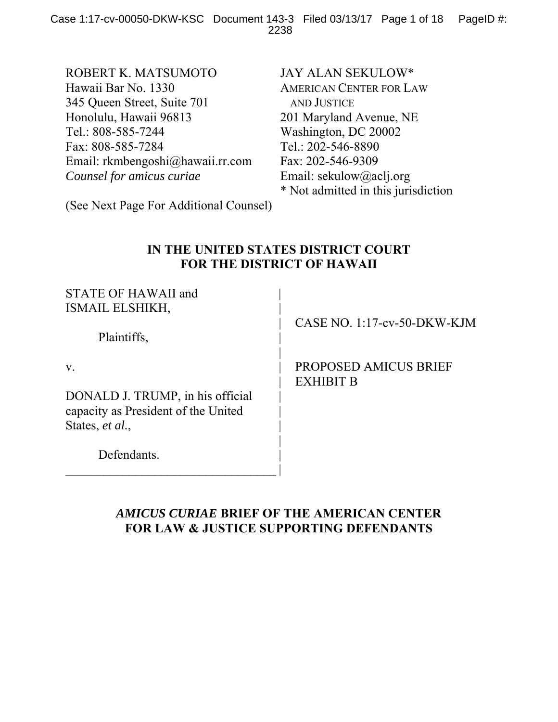ROBERT K. MATSUMOTO Hawaii Bar No. 1330 345 Queen Street, Suite 701 Honolulu, Hawaii 96813 Tel.: 808-585-7244 Fax: 808-585-7284 Email: rkmbengoshi@hawaii.rr.com *Counsel for amicus curiae* 

JAY ALAN SEKULOW\* AMERICAN CENTER FOR LAW AND JUSTICE 201 Maryland Avenue, NE Washington, DC 20002 Tel.: 202-546-8890 Fax: 202-546-9309 Email: sekulow@aclj.org \* Not admitted in this jurisdiction

(See Next Page For Additional Counsel)

# **IN THE UNITED STATES DISTRICT COURT FOR THE DISTRICT OF HAWAII**

| <b>STATE OF HAWAII and</b><br>ISMAIL ELSHIKH, |                                           |
|-----------------------------------------------|-------------------------------------------|
| Plaintiffs,                                   | CASE NO. $1:17$ -cv-50-DKW-KJM            |
| V.                                            | PROPOSED AMICUS BRIEF<br><b>EXHIBIT B</b> |
| DONALD J. TRUMP, in his official              |                                           |
| capacity as President of the United           |                                           |
| States, et al.,                               |                                           |
| Defendants.                                   |                                           |

## *AMICUS CURIAE* **BRIEF OF THE AMERICAN CENTER FOR LAW & JUSTICE SUPPORTING DEFENDANTS**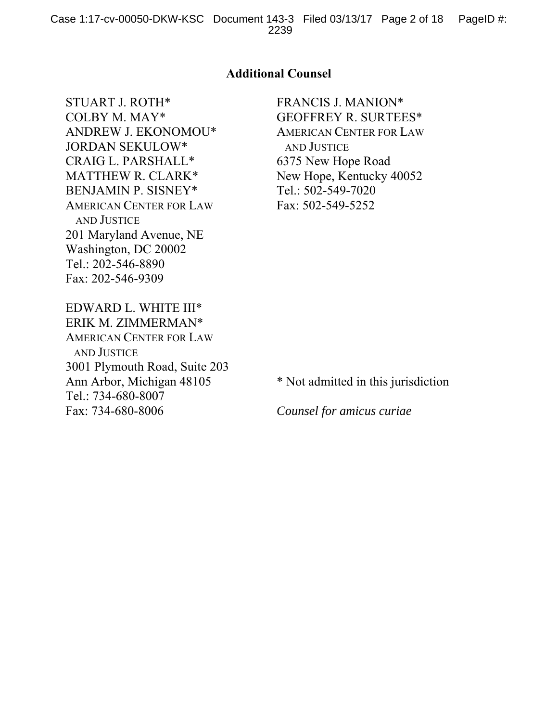### **Additional Counsel**

STUART J. ROTH\* COLBY M. MAY\* ANDREW J. EKONOMOU\* JORDAN SEKULOW\* CRAIG L. PARSHALL\* MATTHEW R. CLARK\* BENJAMIN P. SISNEY\* AMERICAN CENTER FOR LAW AND JUSTICE 201 Maryland Avenue, NE Washington, DC 20002 Tel.: 202-546-8890 Fax: 202-546-9309

FRANCIS J. MANION\* GEOFFREY R. SURTEES\* AMERICAN CENTER FOR LAW AND JUSTICE 6375 New Hope Road New Hope, Kentucky 40052 Tel.: 502-549-7020 Fax: 502-549-5252

EDWARD L. WHITE III\* ERIK M. ZIMMERMAN\* AMERICAN CENTER FOR LAW AND JUSTICE 3001 Plymouth Road, Suite 203 Ann Arbor, Michigan 48105 Tel.: 734-680-8007 Fax: 734-680-8006

\* Not admitted in this jurisdiction

*Counsel for amicus curiae*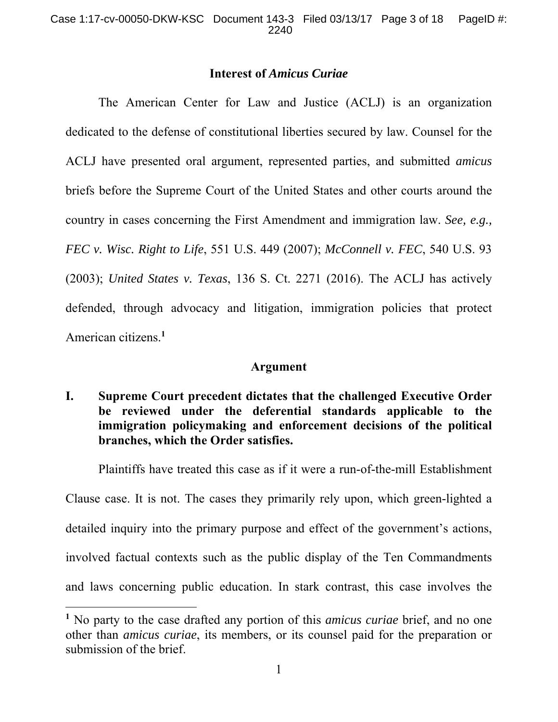### **Interest of** *Amicus Curiae*

 The American Center for Law and Justice (ACLJ) is an organization dedicated to the defense of constitutional liberties secured by law. Counsel for the ACLJ have presented oral argument, represented parties, and submitted *amicus* briefs before the Supreme Court of the United States and other courts around the country in cases concerning the First Amendment and immigration law. *See, e.g., FEC v. Wisc. Right to Life*, 551 U.S. 449 (2007); *McConnell v. FEC*, 540 U.S. 93 (2003); *United States v. Texas*, 136 S. Ct. 2271 (2016). The ACLJ has actively defended, through advocacy and litigation, immigration policies that protect American citizens.**<sup>1</sup>**

### **Argument**

**I. Supreme Court precedent dictates that the challenged Executive Order be reviewed under the deferential standards applicable to the immigration policymaking and enforcement decisions of the political branches, which the Order satisfies.** 

 Plaintiffs have treated this case as if it were a run-of-the-mill Establishment Clause case. It is not. The cases they primarily rely upon, which green-lighted a detailed inquiry into the primary purpose and effect of the government's actions, involved factual contexts such as the public display of the Ten Commandments and laws concerning public education. In stark contrast, this case involves the

 $\overline{a}$ 

**<sup>1</sup>** No party to the case drafted any portion of this *amicus curiae* brief, and no one other than *amicus curiae*, its members, or its counsel paid for the preparation or submission of the brief.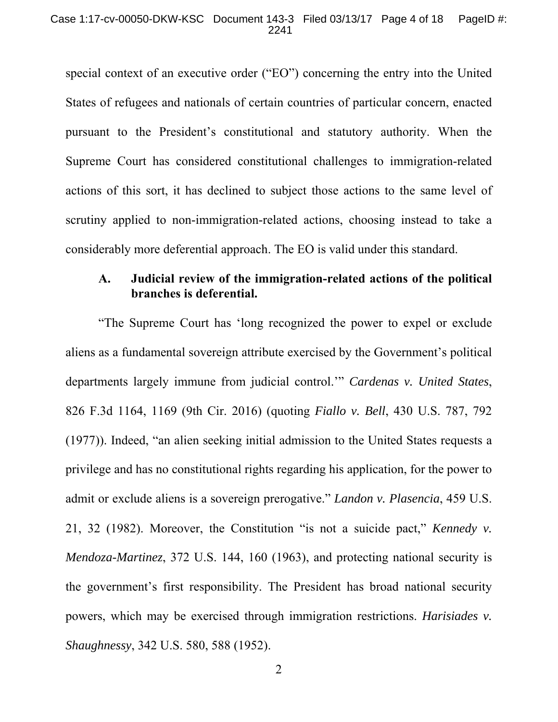special context of an executive order ("EO") concerning the entry into the United States of refugees and nationals of certain countries of particular concern, enacted pursuant to the President's constitutional and statutory authority. When the Supreme Court has considered constitutional challenges to immigration-related actions of this sort, it has declined to subject those actions to the same level of scrutiny applied to non-immigration-related actions, choosing instead to take a considerably more deferential approach. The EO is valid under this standard.

## **A. Judicial review of the immigration-related actions of the political branches is deferential.**

 "The Supreme Court has 'long recognized the power to expel or exclude aliens as a fundamental sovereign attribute exercised by the Government's political departments largely immune from judicial control.'" *Cardenas v. United States*, 826 F.3d 1164, 1169 (9th Cir. 2016) (quoting *Fiallo v. Bell*, 430 U.S. 787, 792 (1977)). Indeed, "an alien seeking initial admission to the United States requests a privilege and has no constitutional rights regarding his application, for the power to admit or exclude aliens is a sovereign prerogative." *Landon v. Plasencia*, 459 U.S. 21, 32 (1982). Moreover, the Constitution "is not a suicide pact," *Kennedy v. Mendoza-Martinez*, 372 U.S. 144, 160 (1963), and protecting national security is the government's first responsibility. The President has broad national security powers, which may be exercised through immigration restrictions. *Harisiades v. Shaughnessy*, 342 U.S. 580, 588 (1952).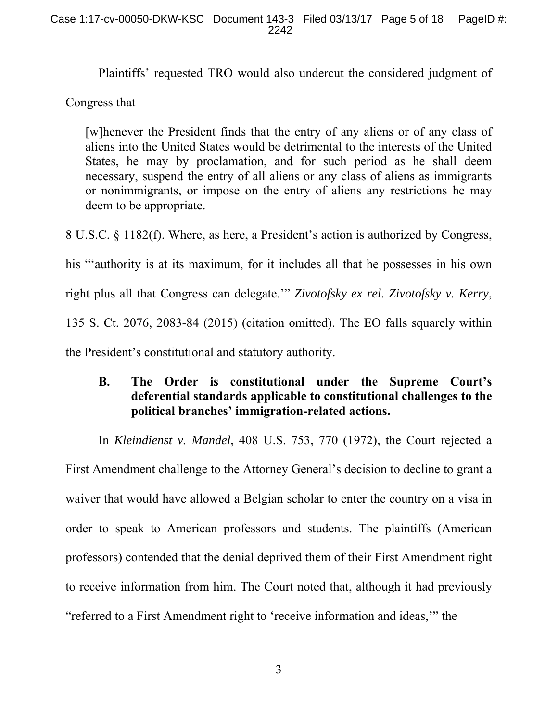Plaintiffs' requested TRO would also undercut the considered judgment of

Congress that

[w]henever the President finds that the entry of any aliens or of any class of aliens into the United States would be detrimental to the interests of the United States, he may by proclamation, and for such period as he shall deem necessary, suspend the entry of all aliens or any class of aliens as immigrants or nonimmigrants, or impose on the entry of aliens any restrictions he may deem to be appropriate.

8 U.S.C. § 1182(f). Where, as here, a President's action is authorized by Congress, his "'authority is at its maximum, for it includes all that he possesses in his own right plus all that Congress can delegate.'" *Zivotofsky ex rel. Zivotofsky v. Kerry*, 135 S. Ct. 2076, 2083-84 (2015) (citation omitted). The EO falls squarely within the President's constitutional and statutory authority.

## **B. The Order is constitutional under the Supreme Court's deferential standards applicable to constitutional challenges to the political branches' immigration-related actions.**

 In *Kleindienst v. Mandel*, 408 U.S. 753, 770 (1972), the Court rejected a First Amendment challenge to the Attorney General's decision to decline to grant a waiver that would have allowed a Belgian scholar to enter the country on a visa in order to speak to American professors and students. The plaintiffs (American professors) contended that the denial deprived them of their First Amendment right to receive information from him. The Court noted that, although it had previously "referred to a First Amendment right to 'receive information and ideas,'" the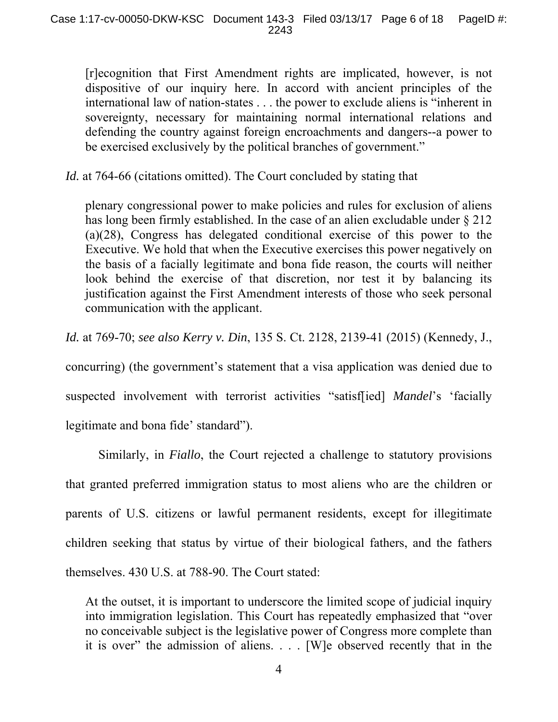[r]ecognition that First Amendment rights are implicated, however, is not dispositive of our inquiry here. In accord with ancient principles of the international law of nation-states . . . the power to exclude aliens is "inherent in sovereignty, necessary for maintaining normal international relations and defending the country against foreign encroachments and dangers--a power to be exercised exclusively by the political branches of government."

*Id.* at 764-66 (citations omitted). The Court concluded by stating that

plenary congressional power to make policies and rules for exclusion of aliens has long been firmly established. In the case of an alien excludable under  $\S 212$ (a)(28), Congress has delegated conditional exercise of this power to the Executive. We hold that when the Executive exercises this power negatively on the basis of a facially legitimate and bona fide reason, the courts will neither look behind the exercise of that discretion, nor test it by balancing its justification against the First Amendment interests of those who seek personal communication with the applicant.

*Id.* at 769-70; *see also Kerry v. Din*, 135 S. Ct. 2128, 2139-41 (2015) (Kennedy, J.,

concurring) (the government's statement that a visa application was denied due to suspected involvement with terrorist activities "satisf[ied] *Mandel*'s 'facially legitimate and bona fide' standard").

 Similarly, in *Fiallo*, the Court rejected a challenge to statutory provisions that granted preferred immigration status to most aliens who are the children or parents of U.S. citizens or lawful permanent residents, except for illegitimate children seeking that status by virtue of their biological fathers, and the fathers themselves. 430 U.S. at 788-90. The Court stated:

At the outset, it is important to underscore the limited scope of judicial inquiry into immigration legislation. This Court has repeatedly emphasized that "over no conceivable subject is the legislative power of Congress more complete than it is over" the admission of aliens. . . . [W]e observed recently that in the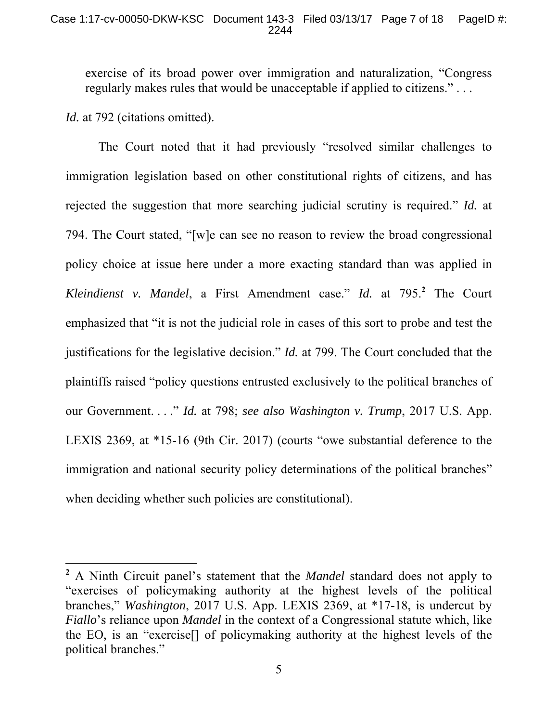exercise of its broad power over immigration and naturalization, "Congress regularly makes rules that would be unacceptable if applied to citizens." . . .

*Id.* at 792 (citations omitted).

 $\overline{a}$ 

 The Court noted that it had previously "resolved similar challenges to immigration legislation based on other constitutional rights of citizens, and has rejected the suggestion that more searching judicial scrutiny is required." *Id.* at 794. The Court stated, "[w]e can see no reason to review the broad congressional policy choice at issue here under a more exacting standard than was applied in *Kleindienst v. Mandel*, a First Amendment case." *Id.* at 795.**<sup>2</sup>** The Court emphasized that "it is not the judicial role in cases of this sort to probe and test the justifications for the legislative decision." *Id.* at 799. The Court concluded that the plaintiffs raised "policy questions entrusted exclusively to the political branches of our Government. . . ." *Id.* at 798; *see also Washington v. Trump*, 2017 U.S. App. LEXIS 2369, at \*15-16 (9th Cir. 2017) (courts "owe substantial deference to the immigration and national security policy determinations of the political branches" when deciding whether such policies are constitutional).

**<sup>2</sup>** A Ninth Circuit panel's statement that the *Mandel* standard does not apply to "exercises of policymaking authority at the highest levels of the political branches," *Washington*, 2017 U.S. App. LEXIS 2369, at \*17-18, is undercut by *Fiallo*'s reliance upon *Mandel* in the context of a Congressional statute which, like the EO, is an "exercise[] of policymaking authority at the highest levels of the political branches."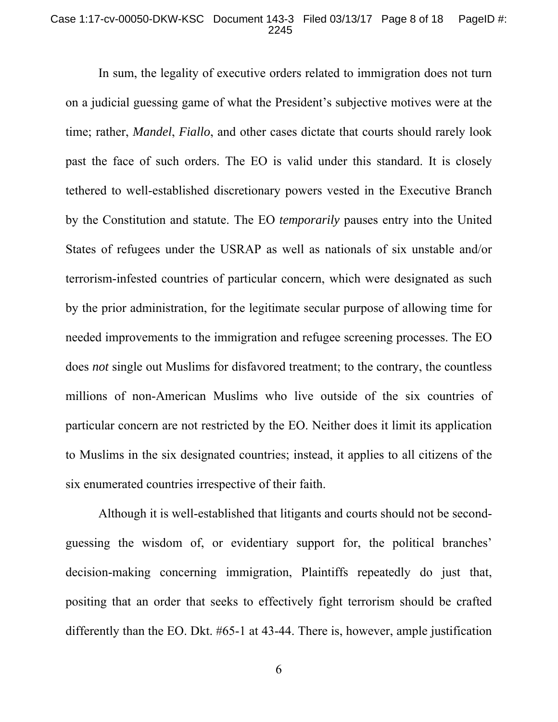#### Case 1:17-cv-00050-DKW-KSC Document 143-3 Filed 03/13/17 Page 8 of 18 PageID #: 2245

 In sum, the legality of executive orders related to immigration does not turn on a judicial guessing game of what the President's subjective motives were at the time; rather, *Mandel*, *Fiallo*, and other cases dictate that courts should rarely look past the face of such orders. The EO is valid under this standard. It is closely tethered to well-established discretionary powers vested in the Executive Branch by the Constitution and statute. The EO *temporarily* pauses entry into the United States of refugees under the USRAP as well as nationals of six unstable and/or terrorism-infested countries of particular concern, which were designated as such by the prior administration, for the legitimate secular purpose of allowing time for needed improvements to the immigration and refugee screening processes. The EO does *not* single out Muslims for disfavored treatment; to the contrary, the countless millions of non-American Muslims who live outside of the six countries of particular concern are not restricted by the EO. Neither does it limit its application to Muslims in the six designated countries; instead, it applies to all citizens of the six enumerated countries irrespective of their faith.

 Although it is well-established that litigants and courts should not be secondguessing the wisdom of, or evidentiary support for, the political branches' decision-making concerning immigration, Plaintiffs repeatedly do just that, positing that an order that seeks to effectively fight terrorism should be crafted differently than the EO. Dkt. #65-1 at 43-44. There is, however, ample justification

6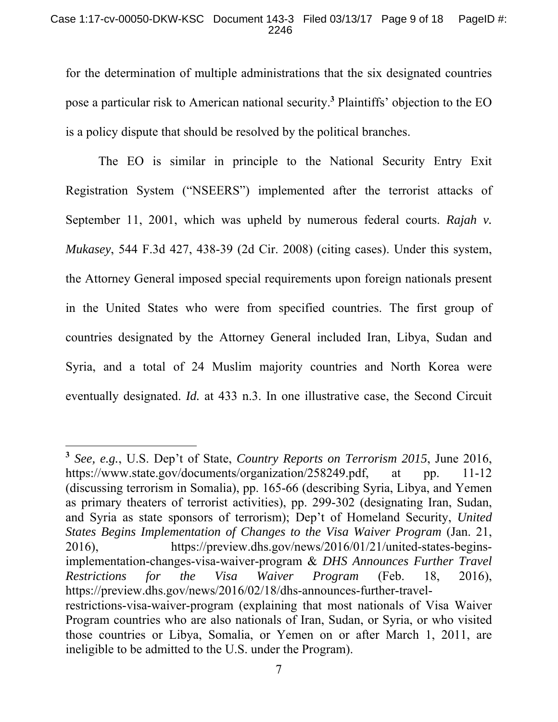for the determination of multiple administrations that the six designated countries pose a particular risk to American national security.**<sup>3</sup>** Plaintiffs' objection to the EO is a policy dispute that should be resolved by the political branches.

 The EO is similar in principle to the National Security Entry Exit Registration System ("NSEERS") implemented after the terrorist attacks of September 11, 2001, which was upheld by numerous federal courts. *Rajah v. Mukasey*, 544 F.3d 427, 438-39 (2d Cir. 2008) (citing cases). Under this system, the Attorney General imposed special requirements upon foreign nationals present in the United States who were from specified countries. The first group of countries designated by the Attorney General included Iran, Libya, Sudan and Syria, and a total of 24 Muslim majority countries and North Korea were eventually designated. *Id.* at 433 n.3. In one illustrative case, the Second Circuit

 $\overline{a}$ 

**<sup>3</sup>** *See, e.g.*, U.S. Dep't of State, *Country Reports on Terrorism 2015*, June 2016, https://www.state.gov/documents/organization/258249.pdf, at pp. 11-12 (discussing terrorism in Somalia), pp. 165-66 (describing Syria, Libya, and Yemen as primary theaters of terrorist activities), pp. 299-302 (designating Iran, Sudan, and Syria as state sponsors of terrorism); Dep't of Homeland Security, *United States Begins Implementation of Changes to the Visa Waiver Program* (Jan. 21, 2016), https://preview.dhs.gov/news/2016/01/21/united-states-beginsimplementation-changes-visa-waiver-program & *DHS Announces Further Travel Restrictions for the Visa Waiver Program* (Feb. 18, 2016), https://preview.dhs.gov/news/2016/02/18/dhs-announces-further-travelrestrictions-visa-waiver-program (explaining that most nationals of Visa Waiver Program countries who are also nationals of Iran, Sudan, or Syria, or who visited those countries or Libya, Somalia, or Yemen on or after March 1, 2011, are ineligible to be admitted to the U.S. under the Program).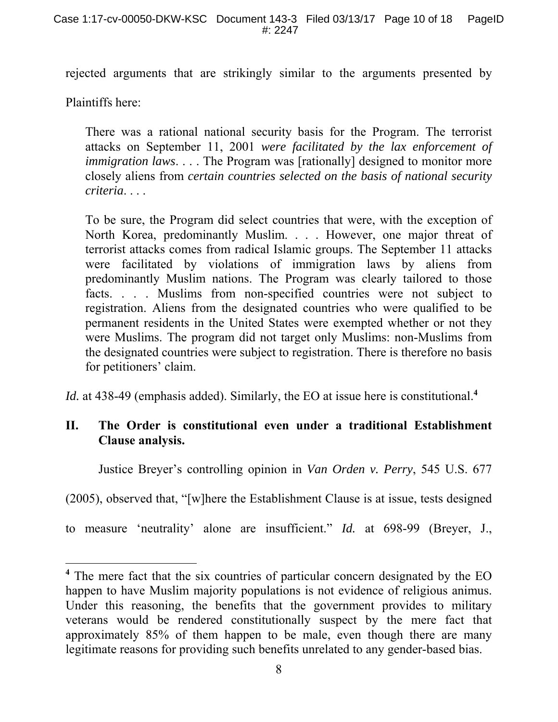rejected arguments that are strikingly similar to the arguments presented by

Plaintiffs here:

 $\overline{a}$ 

There was a rational national security basis for the Program. The terrorist attacks on September 11, 2001 *were facilitated by the lax enforcement of immigration laws.* . . . The Program was [rationally] designed to monitor more closely aliens from *certain countries selected on the basis of national security criteria*. . . .

To be sure, the Program did select countries that were, with the exception of North Korea, predominantly Muslim. . . . However, one major threat of terrorist attacks comes from radical Islamic groups. The September 11 attacks were facilitated by violations of immigration laws by aliens from predominantly Muslim nations. The Program was clearly tailored to those facts. . . . Muslims from non-specified countries were not subject to registration. Aliens from the designated countries who were qualified to be permanent residents in the United States were exempted whether or not they were Muslims. The program did not target only Muslims: non-Muslims from the designated countries were subject to registration. There is therefore no basis for petitioners' claim.

*Id.* at 438-49 (emphasis added). Similarly, the EO at issue here is constitutional.<sup>4</sup>

## **II. The Order is constitutional even under a traditional Establishment Clause analysis.**

Justice Breyer's controlling opinion in *Van Orden v. Perry*, 545 U.S. 677

(2005), observed that, "[w]here the Establishment Clause is at issue, tests designed

to measure 'neutrality' alone are insufficient." *Id.* at 698-99 (Breyer, J.,

<sup>&</sup>lt;sup>4</sup> The mere fact that the six countries of particular concern designated by the EO happen to have Muslim majority populations is not evidence of religious animus. Under this reasoning, the benefits that the government provides to military veterans would be rendered constitutionally suspect by the mere fact that approximately 85% of them happen to be male, even though there are many legitimate reasons for providing such benefits unrelated to any gender-based bias.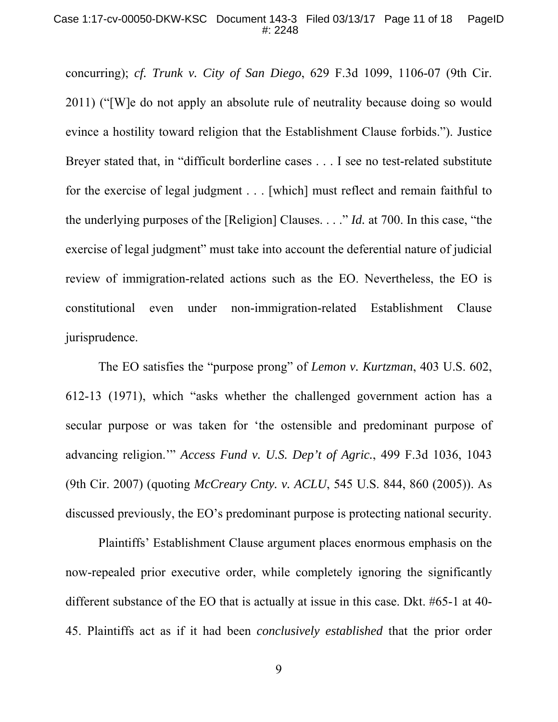concurring); *cf. Trunk v. City of San Diego*, 629 F.3d 1099, 1106-07 (9th Cir. 2011) ("[W]e do not apply an absolute rule of neutrality because doing so would evince a hostility toward religion that the Establishment Clause forbids."). Justice Breyer stated that, in "difficult borderline cases . . . I see no test-related substitute for the exercise of legal judgment . . . [which] must reflect and remain faithful to the underlying purposes of the [Religion] Clauses. . . ." *Id.* at 700. In this case, "the exercise of legal judgment" must take into account the deferential nature of judicial review of immigration-related actions such as the EO. Nevertheless, the EO is constitutional even under non-immigration-related Establishment Clause jurisprudence.

 The EO satisfies the "purpose prong" of *Lemon v. Kurtzman*, 403 U.S. 602, 612-13 (1971), which "asks whether the challenged government action has a secular purpose or was taken for 'the ostensible and predominant purpose of advancing religion.'" *Access Fund v. U.S. Dep't of Agric.*, 499 F.3d 1036, 1043 (9th Cir. 2007) (quoting *McCreary Cnty. v. ACLU*, 545 U.S. 844, 860 (2005)). As discussed previously, the EO's predominant purpose is protecting national security.

 Plaintiffs' Establishment Clause argument places enormous emphasis on the now-repealed prior executive order, while completely ignoring the significantly different substance of the EO that is actually at issue in this case. Dkt. #65-1 at 40- 45. Plaintiffs act as if it had been *conclusively established* that the prior order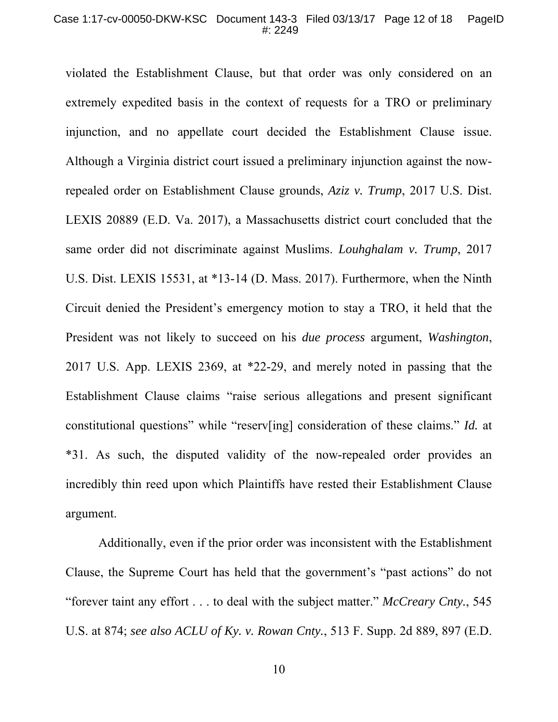violated the Establishment Clause, but that order was only considered on an extremely expedited basis in the context of requests for a TRO or preliminary injunction, and no appellate court decided the Establishment Clause issue. Although a Virginia district court issued a preliminary injunction against the nowrepealed order on Establishment Clause grounds, *Aziz v. Trump*, 2017 U.S. Dist. LEXIS 20889 (E.D. Va. 2017), a Massachusetts district court concluded that the same order did not discriminate against Muslims. *Louhghalam v. Trump*, 2017 U.S. Dist. LEXIS 15531, at \*13-14 (D. Mass. 2017). Furthermore, when the Ninth Circuit denied the President's emergency motion to stay a TRO, it held that the President was not likely to succeed on his *due process* argument, *Washington*, 2017 U.S. App. LEXIS 2369, at \*22-29, and merely noted in passing that the Establishment Clause claims "raise serious allegations and present significant constitutional questions" while "reserv[ing] consideration of these claims." *Id.* at \*31. As such, the disputed validity of the now-repealed order provides an incredibly thin reed upon which Plaintiffs have rested their Establishment Clause argument.

 Additionally, even if the prior order was inconsistent with the Establishment Clause, the Supreme Court has held that the government's "past actions" do not "forever taint any effort . . . to deal with the subject matter." *McCreary Cnty.*, 545 U.S. at 874; *see also ACLU of Ky. v. Rowan Cnty.*, 513 F. Supp. 2d 889, 897 (E.D.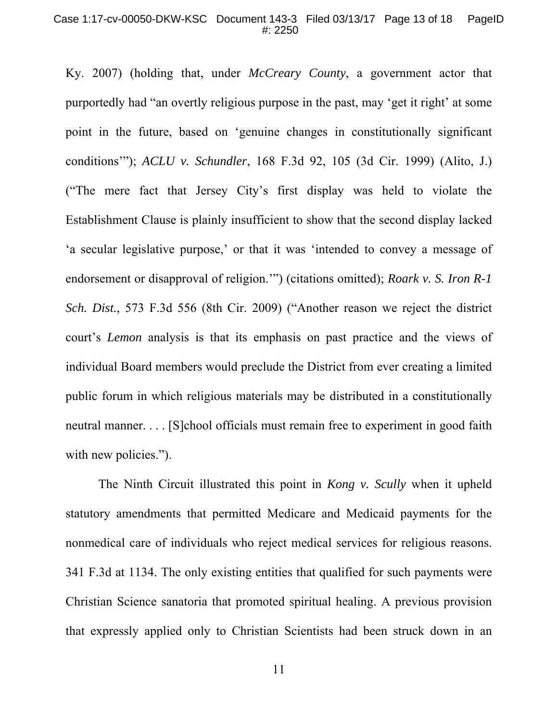Ky. 2007) (holding that, under *McCreary County*, a government actor that purportedly had "an overtly religious purpose in the past, may 'get it right' at some point in the future, based on 'genuine changes in constitutionally significant conditions'"); *ACLU v. Schundler*, 168 F.3d 92, 105 (3d Cir. 1999) (Alito, J.) ("The mere fact that Jersey City's first display was held to violate the Establishment Clause is plainly insufficient to show that the second display lacked 'a secular legislative purpose,' or that it was 'intended to convey a message of endorsement or disapproval of religion.'") (citations omitted); *Roark v. S. Iron R-1 Sch. Dist.*, 573 F.3d 556 (8th Cir. 2009) ("Another reason we reject the district court's *Lemon* analysis is that its emphasis on past practice and the views of individual Board members would preclude the District from ever creating a limited public forum in which religious materials may be distributed in a constitutionally neutral manner. . . . [S]chool officials must remain free to experiment in good faith with new policies.").

 The Ninth Circuit illustrated this point in *Kong v. Scully* when it upheld statutory amendments that permitted Medicare and Medicaid payments for the nonmedical care of individuals who reject medical services for religious reasons. 341 F.3d at 1134. The only existing entities that qualified for such payments were Christian Science sanatoria that promoted spiritual healing. A previous provision that expressly applied only to Christian Scientists had been struck down in an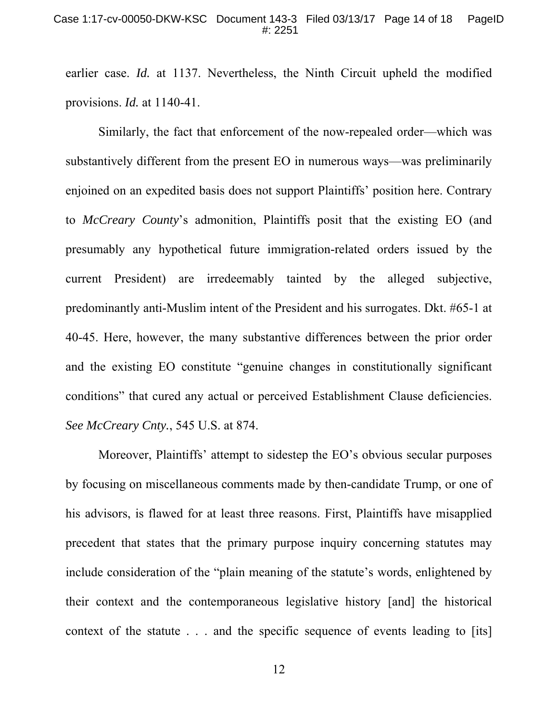earlier case. *Id.* at 1137. Nevertheless, the Ninth Circuit upheld the modified provisions. *Id.* at 1140-41.

 Similarly, the fact that enforcement of the now-repealed order—which was substantively different from the present EO in numerous ways—was preliminarily enjoined on an expedited basis does not support Plaintiffs' position here. Contrary to *McCreary County*'s admonition, Plaintiffs posit that the existing EO (and presumably any hypothetical future immigration-related orders issued by the current President) are irredeemably tainted by the alleged subjective, predominantly anti-Muslim intent of the President and his surrogates. Dkt. #65-1 at 40-45. Here, however, the many substantive differences between the prior order and the existing EO constitute "genuine changes in constitutionally significant conditions" that cured any actual or perceived Establishment Clause deficiencies. *See McCreary Cnty.*, 545 U.S. at 874.

 Moreover, Plaintiffs' attempt to sidestep the EO's obvious secular purposes by focusing on miscellaneous comments made by then-candidate Trump, or one of his advisors, is flawed for at least three reasons. First, Plaintiffs have misapplied precedent that states that the primary purpose inquiry concerning statutes may include consideration of the "plain meaning of the statute's words, enlightened by their context and the contemporaneous legislative history [and] the historical context of the statute . . . and the specific sequence of events leading to [its]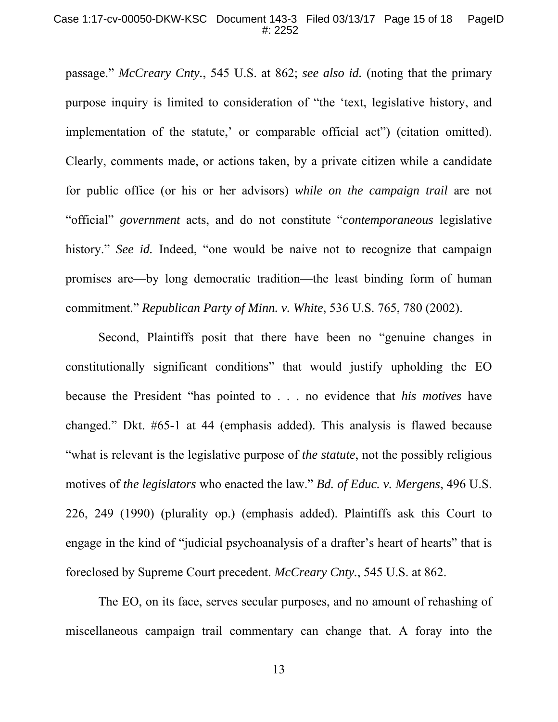passage." *McCreary Cnty.*, 545 U.S. at 862; *see also id.* (noting that the primary purpose inquiry is limited to consideration of "the 'text, legislative history, and implementation of the statute,' or comparable official act") (citation omitted). Clearly, comments made, or actions taken, by a private citizen while a candidate for public office (or his or her advisors) *while on the campaign trail* are not "official" *government* acts, and do not constitute "*contemporaneous* legislative history." *See id.* Indeed, "one would be naive not to recognize that campaign promises are—by long democratic tradition—the least binding form of human commitment." *Republican Party of Minn. v. White*, 536 U.S. 765, 780 (2002).

 Second, Plaintiffs posit that there have been no "genuine changes in constitutionally significant conditions" that would justify upholding the EO because the President "has pointed to . . . no evidence that *his motives* have changed." Dkt. #65-1 at 44 (emphasis added). This analysis is flawed because "what is relevant is the legislative purpose of *the statute*, not the possibly religious motives of *the legislators* who enacted the law." *Bd. of Educ. v. Mergens*, 496 U.S. 226, 249 (1990) (plurality op.) (emphasis added). Plaintiffs ask this Court to engage in the kind of "judicial psychoanalysis of a drafter's heart of hearts" that is foreclosed by Supreme Court precedent. *McCreary Cnty.*, 545 U.S. at 862.

 The EO, on its face, serves secular purposes, and no amount of rehashing of miscellaneous campaign trail commentary can change that. A foray into the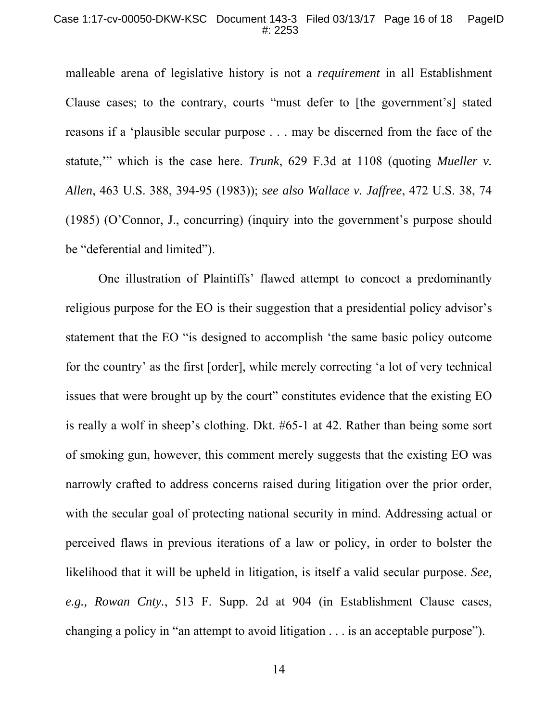#### Case 1:17-cv-00050-DKW-KSC Document 143-3 Filed 03/13/17 Page 16 of 18 PageID #: 2253

malleable arena of legislative history is not a *requirement* in all Establishment Clause cases; to the contrary, courts "must defer to [the government's] stated reasons if a 'plausible secular purpose . . . may be discerned from the face of the statute,'" which is the case here. *Trunk*, 629 F.3d at 1108 (quoting *Mueller v. Allen*, 463 U.S. 388, 394-95 (1983)); *see also Wallace v. Jaffree*, 472 U.S. 38, 74 (1985) (O'Connor, J., concurring) (inquiry into the government's purpose should be "deferential and limited").

 One illustration of Plaintiffs' flawed attempt to concoct a predominantly religious purpose for the EO is their suggestion that a presidential policy advisor's statement that the EO "is designed to accomplish 'the same basic policy outcome for the country' as the first [order], while merely correcting 'a lot of very technical issues that were brought up by the court" constitutes evidence that the existing EO is really a wolf in sheep's clothing. Dkt. #65-1 at 42. Rather than being some sort of smoking gun, however, this comment merely suggests that the existing EO was narrowly crafted to address concerns raised during litigation over the prior order, with the secular goal of protecting national security in mind. Addressing actual or perceived flaws in previous iterations of a law or policy, in order to bolster the likelihood that it will be upheld in litigation, is itself a valid secular purpose. *See, e.g., Rowan Cnty.*, 513 F. Supp. 2d at 904 (in Establishment Clause cases, changing a policy in "an attempt to avoid litigation . . . is an acceptable purpose").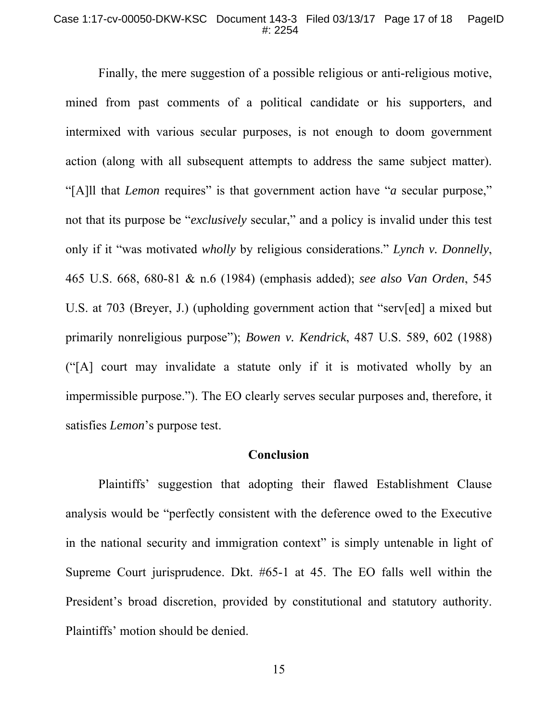#### Case 1:17-cv-00050-DKW-KSC Document 143-3 Filed 03/13/17 Page 17 of 18 PageID #: 2254

 Finally, the mere suggestion of a possible religious or anti-religious motive, mined from past comments of a political candidate or his supporters, and intermixed with various secular purposes, is not enough to doom government action (along with all subsequent attempts to address the same subject matter). "[A]ll that *Lemon* requires" is that government action have "*a* secular purpose," not that its purpose be "*exclusively* secular," and a policy is invalid under this test only if it "was motivated *wholly* by religious considerations." *Lynch v. Donnelly*, 465 U.S. 668, 680-81 & n.6 (1984) (emphasis added); *see also Van Orden*, 545 U.S. at 703 (Breyer, J.) (upholding government action that "serv[ed] a mixed but primarily nonreligious purpose"); *Bowen v. Kendrick*, 487 U.S. 589, 602 (1988) ("[A] court may invalidate a statute only if it is motivated wholly by an impermissible purpose."). The EO clearly serves secular purposes and, therefore, it satisfies *Lemon*'s purpose test.

#### **Conclusion**

 Plaintiffs' suggestion that adopting their flawed Establishment Clause analysis would be "perfectly consistent with the deference owed to the Executive in the national security and immigration context" is simply untenable in light of Supreme Court jurisprudence. Dkt. #65-1 at 45. The EO falls well within the President's broad discretion, provided by constitutional and statutory authority. Plaintiffs' motion should be denied.

15